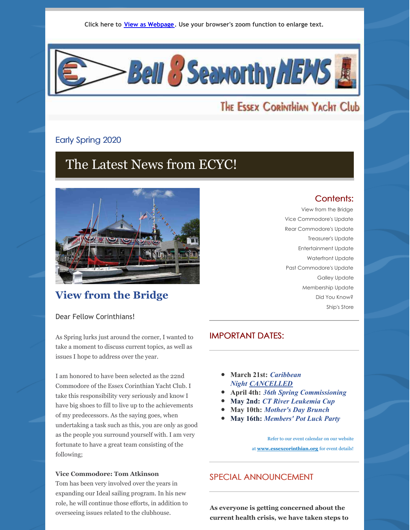

# The Essex Corinthian Yacht Club

# Early Spring 2020

# The Latest News from ECYC!



# **View from the Bridge**

Dear Fellow Corinthians!

As Spring lurks just around the corner, I wanted to take a moment to discuss current topics, as well as issues I hope to address over the year.

I am honored to have been selected as the 22nd Commodore of the Essex Corinthian Yacht Club. I take this responsibility very seriously and know I have big shoes to fill to live up to the achievements of my predecessors. As the saying goes, when undertaking a task such as this, you are only as good as the people you surround yourself with. I am very fortunate to have a great team consisting of the following;

### **Vice Commodore: Tom Atkinson**

Tom has been very involved over the years in expanding our Ideal sailing program. In his new role, he will continue those efforts, in addition to overseeing issues related to the clubhouse.

### Contents: View from the Bridge

Vice Commodore's Update Rear Commodore's Update Treasurer's Update Entertainment Update Waterfront Update Past Commodore's Update Galley Update Membership Update Did You Know? Ship's Store

# IMPORTANT DATES:

- **March 21st:** *Caribbean Night CANCELLED*
- **April 4th:** *36th Spring Commissioning*
- **May 2nd:** *CT River Leukemia Cup*
- **May 10th:** *Mother's Day Brunch*
- **May 16th:** *Members' Pot Luck Party*

Refer to our event calendar on our website at **[www.essexcorinthian.org](http://www.essexcorinthian.org/)** for event details!

# SPECIAL ANNOUNCEMENT

**As everyone is getting concerned about the current health crisis, we have taken steps to**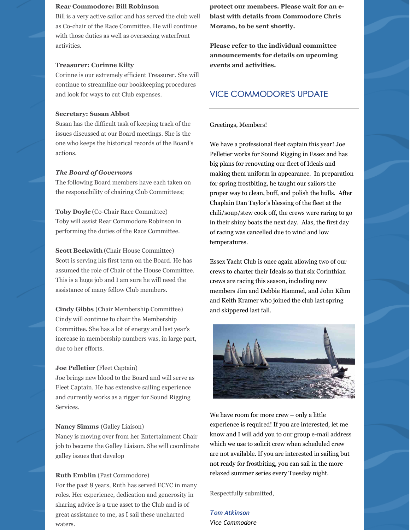### **Rear Commodore: Bill Robinson**

Bill is a very active sailor and has served the club well as Co-chair of the Race Committee. He will continue with those duties as well as overseeing waterfront activities.

### **Treasurer: Corinne Kilty**

Corinne is our extremely efficient Treasurer. She will continue to streamline our bookkeeping procedures and look for ways to cut Club expenses.

### **Secretary: Susan Abbot**

Susan has the difficult task of keeping track of the issues discussed at our Board meetings. She is the one who keeps the historical records of the Board's actions.

### *The Board of Governors*

The following Board members have each taken on the responsibility of chairing Club Committees;

**Toby Doyle** (Co-Chair Race Committee) Toby will assist Rear Commodore Robinson in performing the duties of the Race Committee.

**Scott Beckwith** (Chair House Committee) Scott is serving his first term on the Board. He has assumed the role of Chair of the House Committee. This is a huge job and I am sure he will need the assistance of many fellow Club members.

**Cindy Gibbs** (Chair Membership Committee) Cindy will continue to chair the Membership Committee. She has a lot of energy and last year's increase in membership numbers was, in large part, due to her efforts.

### **Joe Pelletier** (Fleet Captain)

Joe brings new blood to the Board and will serve as Fleet Captain. He has extensive sailing experience and currently works as a rigger for Sound Rigging **Services** 

#### **Nancy Simms** (Galley Liaison)

Nancy is moving over from her Entertainment Chair job to become the Galley Liaison. She will coordinate galley issues that develop

#### **Ruth Emblin** (Past Commodore)

For the past 8 years, Ruth has served ECYC in many roles. Her experience, dedication and generosity in sharing advice is a true asset to the Club and is of great assistance to me, as I sail these uncharted waters.

**protect our members. Please wait for an eblast with details from Commodore Chris Morano, to be sent shortly.**

**Please refer to the individual committee announcements for details on upcoming events and activities.**

### VICE COMMODORE'S UPDATE

Greetings, Members!

We have a professional fleet captain this year! Joe Pelletier works for Sound Rigging in Essex and has big plans for renovating our fleet of Ideals and making them uniform in appearance. In preparation for spring frostbiting, he taught our sailors the proper way to clean, buff, and polish the hulls. After Chaplain Dan Taylor's blessing of the fleet at the chili/soup/stew cook off, the crews were raring to go in their shiny boats the next day. Alas, the first day of racing was cancelled due to wind and low temperatures.

Essex Yacht Club is once again allowing two of our crews to charter their Ideals so that six Corinthian crews are racing this season, including new members Jim and Debbie Hammel, and John Kihm and Keith Kramer who joined the club last spring and skippered last fall.



We have room for more crew – only a little experience is required! If you are interested, let me know and I will add you to our group e-mail address which we use to solicit crew when scheduled crew are not available. If you are interested in sailing but not ready for frostbiting, you can sail in the more relaxed summer series every Tuesday night.

Respectfully submitted,

*Tom Atkinson Vice Commodore*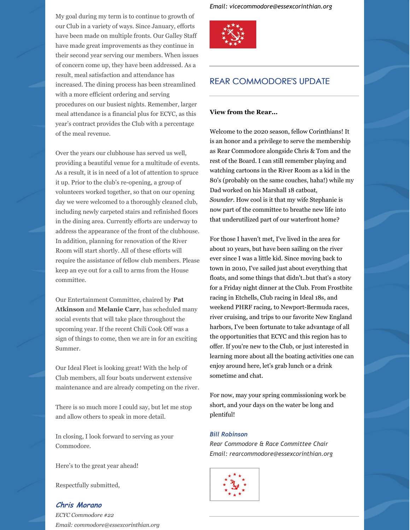My goal during my term is to continue to growth of our Club in a variety of ways. Since January, efforts have been made on multiple fronts. Our Galley Staff have made great improvements as they continue in their second year serving our members. When issues of concern come up, they have been addressed. As a result, meal satisfaction and attendance has increased. The dining process has been streamlined with a more efficient ordering and serving procedures on our busiest nights. Remember, larger meal attendance is a financial plus for ECYC, as this year's contract provides the Club with a percentage of the meal revenue.

Over the years our clubhouse has served us well, providing a beautiful venue for a multitude of events. As a result, it is in need of a lot of attention to spruce it up. Prior to the club's re-opening, a group of volunteers worked together, so that on our opening day we were welcomed to a thoroughly cleaned club, including newly carpeted stairs and refinished floors in the dining area. Currently efforts are underway to address the appearance of the front of the clubhouse. In addition, planning for renovation of the River Room will start shortly. All of these efforts will require the assistance of fellow club members. Please keep an eye out for a call to arms from the House committee.

Our Entertainment Committee, chaired by **Pat Atkinson** and **Melanie Carr**, has scheduled many social events that will take place throughout the upcoming year. If the recent Chili Cook Off was a sign of things to come, then we are in for an exciting Summer.

Our Ideal Fleet is looking great! With the help of Club members, all four boats underwent extensive maintenance and are already competing on the river.

There is so much more I could say, but let me stop and allow others to speak in more detail.

In closing, I look forward to serving as your Commodore.

Here's to the great year ahead!

Respectfully submitted,

### **Chris Morano**

*ECYC Commodore #22 Email: commodore@essexcorinthian.org* *Email: vicecommodore@essexcorinthian.org*



# REAR COMMODORE'S UPDATE

### **View from the Rear...**

Welcome to the 2020 season, fellow Corinthians! It is an honor and a privilege to serve the membership as Rear Commodore alongside Chris & Tom and the rest of the Board. I can still remember playing and watching cartoons in the River Room as a kid in the 80's (probably on the same couches, haha!) while my Dad worked on his Marshall 18 catboat, *Sounder.* How cool is it that my wife Stephanie is now part of the committee to breathe new life into that underutilized part of our waterfront home?

For those I haven't met, I've lived in the area for about 10 years, but have been sailing on the river ever since I was a little kid. Since moving back to town in 2010, I've sailed just about everything that floats, and some things that didn't..but that's a story for a Friday night dinner at the Club. From Frostbite racing in Etchells, Club racing in Ideal 18s, and weekend PHRF racing, to Newport-Bermuda races, river cruising, and trips to our favorite New England harbors, I've been fortunate to take advantage of all the opportunities that ECYC and this region has to offer. If you're new to the Club, or just interested in learning more about all the boating activities one can enjoy around here, let's grab lunch or a drink sometime and chat.

For now, may your spring commissioning work be short, and your days on the water be long and plentiful!

### *Bill Robinson*

*Rear Commodore & Race Committee Chair Email: rearcommodore@essexcorinthian.org*

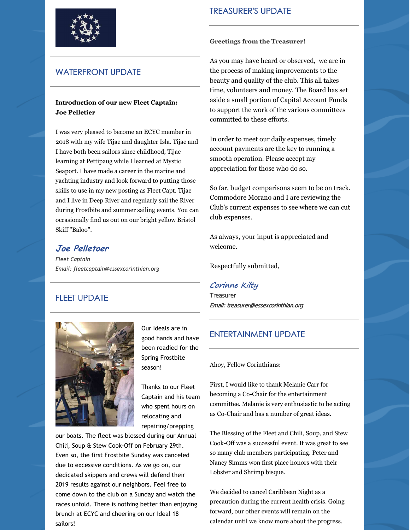

# WATERFRONT UPDATE

### **Introduction of our new Fleet Captain: Joe Pelletier**

I was very pleased to become an ECYC member in 2018 with my wife Tijae and daughter Isla. Tijae and I have both been sailors since childhood, Tijae learning at Pettipaug while I learned at Mystic Seaport. I have made a career in the marine and yachting industry and look forward to putting those skills to use in my new posting as Fleet Capt. Tijae and I live in Deep River and regularly sail the River during Frostbite and summer sailing events. You can occasionally find us out on our bright yellow Bristol Skiff "Baloo".

# **Joe Pelletoer**

*Fleet Captain Email: fleetcaptain@essexcorinthian.org*

# FLEET UPDATE



Our Ideals are in good hands and have been readied for the Spring Frostbite season!

Thanks to our Fleet Captain and his team who spent hours on relocating and repairing/prepping

our boats. The fleet was blessed during our Annual Chili, Soup & Stew Cook-Off on February 29th. Even so, the first Frostbite Sunday was canceled due to excessive conditions. As we go on, our dedicated skippers and crews will defend their 2019 results against our neighbors. Feel free to come down to the club on a Sunday and watch the races unfold. There is nothing better than enjoying brunch at ECYC and cheering on our Ideal 18 sailors!

# TREASURER'S UPDATE

#### **Greetings from the Treasurer!**

As you may have heard or observed, we are in the process of making improvements to the beauty and quality of the club. This all takes time, volunteers and money. The Board has set aside a small portion of Capital Account Funds to support the work of the various committees committed to these efforts.

In order to meet our daily expenses, timely account payments are the key to running a smooth operation. Please accept my appreciation for those who do so.

So far, budget comparisons seem to be on track. Commodore Morano and I are reviewing the Club's current expenses to see where we can cut club expenses.

As always, your input is appreciated and welcome.

Respectfully submitted,

# Corinne Kilty

Treasurer Email: treasurer@essexcorinthian.org

# ENTERTAINMENT UPDATE

### Ahoy, Fellow Corinthians:

First, I would like to thank Melanie Carr for becoming a Co-Chair for the entertainment committee. Melanie is very enthusiastic to be acting as Co-Chair and has a number of great ideas.

The Blessing of the Fleet and Chili, Soup, and Stew Cook-Off was a successful event. It was great to see so many club members participating. Peter and Nancy Simms won first place honors with their Lobster and Shrimp bisque.

We decided to cancel Caribbean Night as a precaution during the current health crisis. Going forward, our other events will remain on the calendar until we know more about the progress.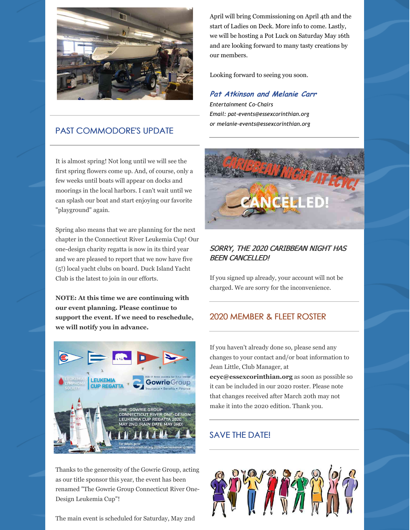

# PAST COMMODORE'S UPDATE

It is almost spring! Not long until we will see the first spring flowers come up. And, of course, only a few weeks until boats will appear on docks and moorings in the local harbors. I can't wait until we can splash our boat and start enjoying our favorite "playground" again.

Spring also means that we are planning for the next chapter in the Connecticut River Leukemia Cup! Our one-design charity regatta is now in its third year and we are pleased to report that we now have five (5!) local yacht clubs on board. Duck Island Yacht Club is the latest to join in our efforts.

**NOTE: At this time we are continuing with our event planning. Please continue to support the event. If we need to reschedule, we will notify you in advance.**



Thanks to the generosity of the Gowrie Group, acting as our title sponsor this year, the event has been renamed "The Gowrie Group Connecticut River One-Design Leukemia Cup"!

The main event is scheduled for Saturday, May 2nd

April will bring Commissioning on April 4th and the start of Ladies on Deck. More info to come. Lastly, we will be hosting a Pot Luck on Saturday May 16th and are looking forward to many tasty creations by our members.

Looking forward to seeing you soon.

### **Pat Atkinson and Melanie Carr**

*Entertainment Co-Chairs Email: pat-events@essexcorinthian.org or melanie-events@essexcorinthian.org*



# SORRY, THE 2020 CARIBBEAN NIGHT HAS BEEN CANCELLED!

If you signed up already, your account will not be charged. We are sorry for the inconvenience.

# 2020 MEMBER & FLEET ROSTER

If you haven't already done so, please send any changes to your contact and/or boat information to Jean Little, Club Manager, at **[ecyc@essexcorinthian.org](mailto:ecyc@essexcorinthian.org)** as soon as possible so it can be included in our 2020 roster. Please note that changes received after March 20th may not make it into the 2020 edition. Thank you.

# SAVE THE DATE!

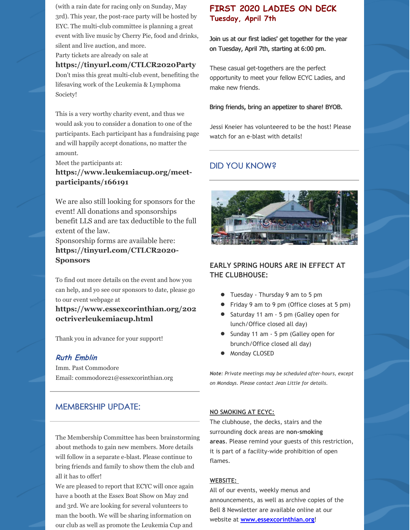(with a rain date for racing only on Sunday, May 3rd). This year, the post-race party will be hosted by EYC. The multi-club committee is planning a great event with live music by Cherry Pie, food and drinks, silent and live auction, and more.

Party tickets are already on sale at

#### **<https://tinyurl.com/CTLCR2020Party>**

Don't miss this great multi-club event, benefiting the lifesaving work of the Leukemia & Lymphoma Society!

This is a very worthy charity event, and thus we would ask you to consider a donation to one of the participants. Each participant has a fundraising page and will happily accept donations, no matter the amount.

Meet the participants at:

# **[https://www.leukemiacup.org/meet](https://www.leukemiacup.org/meet-participants/166191)participants/166191**

We are also still looking for sponsors for the event! All donations and sponsorships benefit LLS and are tax deductible to the full extent of the law.

Sponsorship forms are available here: **[https://tinyurl.com/CTLCR2020-](https://tinyurl.com/CTLCR2020-Sponsors) Sponsors**

To find out more details on the event and how you can help, and yo see our sponsors to date, please go to our event webpage at

**[https://www.essexcorinthian.org/202](https://www.essexcorinthian.org/2020ctriverleukemiacup.html) 0ctriverleukemiacup.html**

Thank you in advance for your support!

# **Ruth Emblin**

Imm. Past Commodore Email: commodore21@essexcorinthian.org

### MEMBERSHIP UPDATE:

The Membership Committee has been brainstorming about methods to gain new members. More details will follow in a separate e-blast. Please continue to bring friends and family to show them the club and all it has to offer!

We are pleased to report that ECYC will once again have a booth at the Essex Boat Show on May 2nd and 3rd. We are looking for several volunteers to man the booth. We will be sharing information on our club as well as promote the Leukemia Cup and

# **FIRST 2020 LADIES ON DECK Tuesday, April 7th**

Join us at our first ladies' get together for the year on Tuesday, April 7th, starting at 6:00 pm.

These casual get-togethers are the perfect opportunity to meet your fellow ECYC Ladies, and make new friends.

#### Bring friends, bring an appetizer to share! BYOB.

Jessi Kneier has volunteered to be the host! Please watch for an e-blast with details!

# DID YOU KNOW?



# **EARLY SPRING HOURS ARE IN EFFECT AT THE CLUBHOUSE:**

- Tuesday Thursday 9 am to 5 pm
- Friday 9 am to 9 pm (Office closes at 5 pm)
- Saturday 11 am 5 pm (Galley open for lunch/Office closed all day)
- Sunday 11 am 5 pm (Galley open for brunch/Office closed all day)
- Monday CLOSED  $\bullet$

*Note: Private meetings may be scheduled after-hours, except on Mondays. Please contact Jean Little for details.*

### **NO SMOKING AT ECYC:**

The clubhouse, the decks, stairs and the surrounding dock areas are **non-smoking areas**. Please remind your guests of this restriction, it is part of a facility-wide prohibition of open flames.

#### **WEBSITE:**

All of our events, weekly menus and announcements, as well as archive copies of the Bell 8 Newsletter are available online at our website at **[www.essexcorinthian.org](https://www.essexcorinthian.org/)**!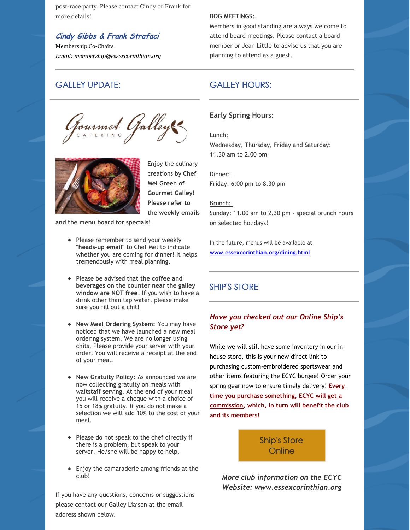post-race party. Please contact Cindy or Frank for more details!

# **Cindy Gibbs & Frank Strafaci**

Membership Co-Chairs *Email: membership@essexcorinthian.org*

# GALLEY UPDATE:

Gourmet Galley



Enjoy the culinary creations by **Chef Mel Green of Gourmet Galley**! **Please refer to the weekly emails**

**and the menu board for specials!**

- Please remember to send your weekly **"heads-up email"** to Chef Mel to indicate whether you are coming for dinner! It helps tremendously with meal planning.
- Please be advised that **the coffee and beverages on the counter near the galley window are NOT free**! If you wish to have a drink other than tap water, please make sure you fill out a chit!
- **New Meal Ordering System:** You may have noticed that we have launched a new meal ordering system. We are no longer using chits, Please provide your server with your order. You will receive a receipt at the end of your meal.
- **New Gratuity Policy:** As announced we are now collecting gratuity on meals with waitstaff serving. At the end of your meal you will receive a cheque with a choice of 15 or 18% gratuity. If you do not make a selection we will add 10% to the cost of your meal.
- Please do not speak to the chef directly if there is a problem, but speak to your server. He/she will be happy to help.
- Enjoy the camaraderie among friends at the club!

If you have any questions, concerns or suggestions please contact our Galley Liaison at the email address shown below.

#### **BOG MEETINGS:**

Members in good standing are always welcome to attend board meetings. Please contact a board member or Jean Little to advise us that you are planning to attend as a guest.

# GALLEY HOURS:

### **Early Spring Hours:**

Lunch:

Wednesday, Thursday, Friday and Saturday: 11.30 am to 2.00 pm

Dinner: Friday: 6:00 pm to 8.30 pm

Brunch: Sunday: 11.00 am to 2.30 pm - special brunch hours on selected holidays!

In the future, menus will be available at **[www.essexcorinthian.org/dining.html](http://www.essexcorinthian.org/dining.html)**

# SHIP'S STORE

# *Have you checked out our Online Ship's Store yet?*

While we will still have some inventory in our inhouse store, this is your new direct link to purchasing custom-embroidered sportswear and other items featuring the ECYC burgee! Order your spring gear now to ensure timely delivery! **Every time you purchase something, ECYC will get a commission, which, in turn will benefit the club and its members!**

> Ship's Store **[Online](http://www.team1newport.com/Essex-Corinthian-Yacht-Club/departments/1032/)**

*More club information on the ECYC Website: [www.essexcorinthian.org](https://www.essexcorinthian.org)*